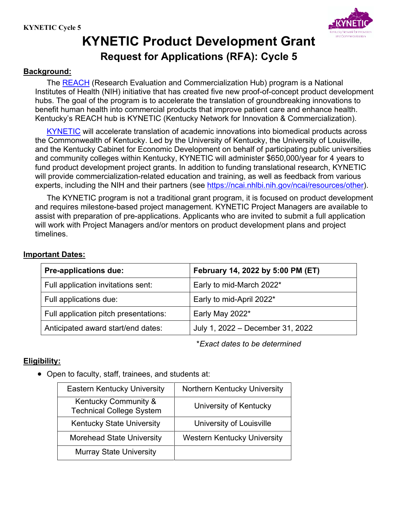

# **KYNETIC Product Development Grant Request for Applications (RFA): Cycle 5**

### **Background:**

The [REACH](https://ncai.nhlbi.nih.gov/ncai/) (Research Evaluation and Commercialization Hub) program is a National Institutes of Health (NIH) initiative that has created five new proof-of-concept product development hubs. The goal of the program is to accelerate the translation of groundbreaking innovations to benefit human health into commercial products that improve patient care and enhance health. Kentucky's REACH hub is KYNETIC (Kentucky Network for Innovation & Commercialization).

[KYNETIC](http://www.louisville.edu/kynetic) will accelerate translation of academic innovations into biomedical products across the Commonwealth of Kentucky. Led by the University of Kentucky, the University of Louisville, and the Kentucky Cabinet for Economic Development on behalf of participating public universities and community colleges within Kentucky, KYNETIC will administer \$650,000/year for 4 years to fund product development project grants. In addition to funding translational research, KYNETIC will provide commercialization-related education and training, as well as feedback from various experts, including the NIH and their partners (see [https://ncai.nhlbi.nih.gov/ncai/resources/other\)](https://ncai.nhlbi.nih.gov/ncai/resources/other).

The KYNETIC program is not a traditional grant program, it is focused on product development and requires milestone-based project management. KYNETIC Project Managers are available to assist with preparation of pre-applications. Applicants who are invited to submit a full application will work with Project Managers and/or mentors on product development plans and project timelines.

## **Important Dates:**

| <b>Pre-applications due:</b>          | February 14, 2022 by 5:00 PM (ET) |
|---------------------------------------|-----------------------------------|
| Full application invitations sent:    | Early to mid-March 2022*          |
| Full applications due:                | Early to mid-April 2022*          |
| Full application pitch presentations: | Early May 2022*                   |
| Anticipated award start/end dates:    | July 1, 2022 – December 31, 2022  |

\**Exact dates to be determined*

# **Eligibility:**

• Open to faculty, staff, trainees, and students at:

| <b>Eastern Kentucky University</b>                      | Northern Kentucky University       |
|---------------------------------------------------------|------------------------------------|
| Kentucky Community &<br><b>Technical College System</b> | University of Kentucky             |
| <b>Kentucky State University</b>                        | University of Louisville           |
| <b>Morehead State University</b>                        | <b>Western Kentucky University</b> |
| <b>Murray State University</b>                          |                                    |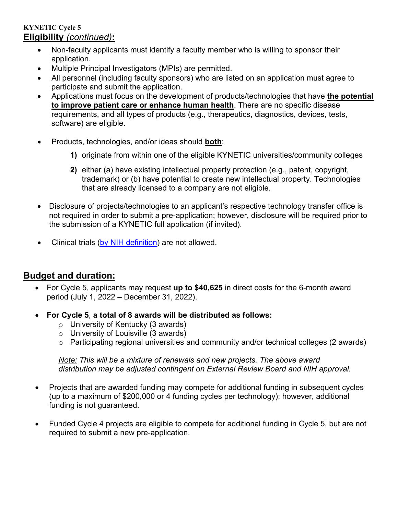# **KYNETIC Cycle 5 Eligibility** *(continued)***:**

- Non-faculty applicants must identify a faculty member who is willing to sponsor their application.
- Multiple Principal Investigators (MPIs) are permitted.
- All personnel (including faculty sponsors) who are listed on an application must agree to participate and submit the application.
- Applications must focus on the development of products/technologies that have **the potential to improve patient care or enhance human health**. There are no specific disease requirements, and all types of products (e.g., therapeutics, diagnostics, devices, tests, software) are eligible.
- Products, technologies, and/or ideas should **both**:
	- **1)** originate from within one of the eligible KYNETIC universities/community colleges
	- **2)** either (a) have existing intellectual property protection (e.g., patent, copyright, trademark) or (b) have potential to create new intellectual property. Technologies that are already licensed to a company are not eligible.
- Disclosure of projects/technologies to an applicant's respective technology transfer office is not required in order to submit a pre-application; however, disclosure will be required prior to the submission of a KYNETIC full application (if invited).
- Clinical trials [\(by NIH definition\)](https://grants.nih.gov/ct-decision/index.htm) are not allowed.

# **Budget and duration:**

- For Cycle 5, applicants may request **up to \$40,625** in direct costs for the 6-month award period (July 1, 2022 – December 31, 2022).
- **For Cycle 5**, **a total of 8 awards will be distributed as follows:** 
	- $\circ$  University of Kentucky (3 awards)
	- o University of Louisville (3 awards)
	- o Participating regional universities and community and/or technical colleges (2 awards)

*Note: This will be a mixture of renewals and new projects. The above award distribution may be adjusted contingent on External Review Board and NIH approval.*

- Projects that are awarded funding may compete for additional funding in subsequent cycles (up to a maximum of \$200,000 or 4 funding cycles per technology); however, additional funding is not guaranteed.
- Funded Cycle 4 projects are eligible to compete for additional funding in Cycle 5, but are not required to submit a new pre-application.